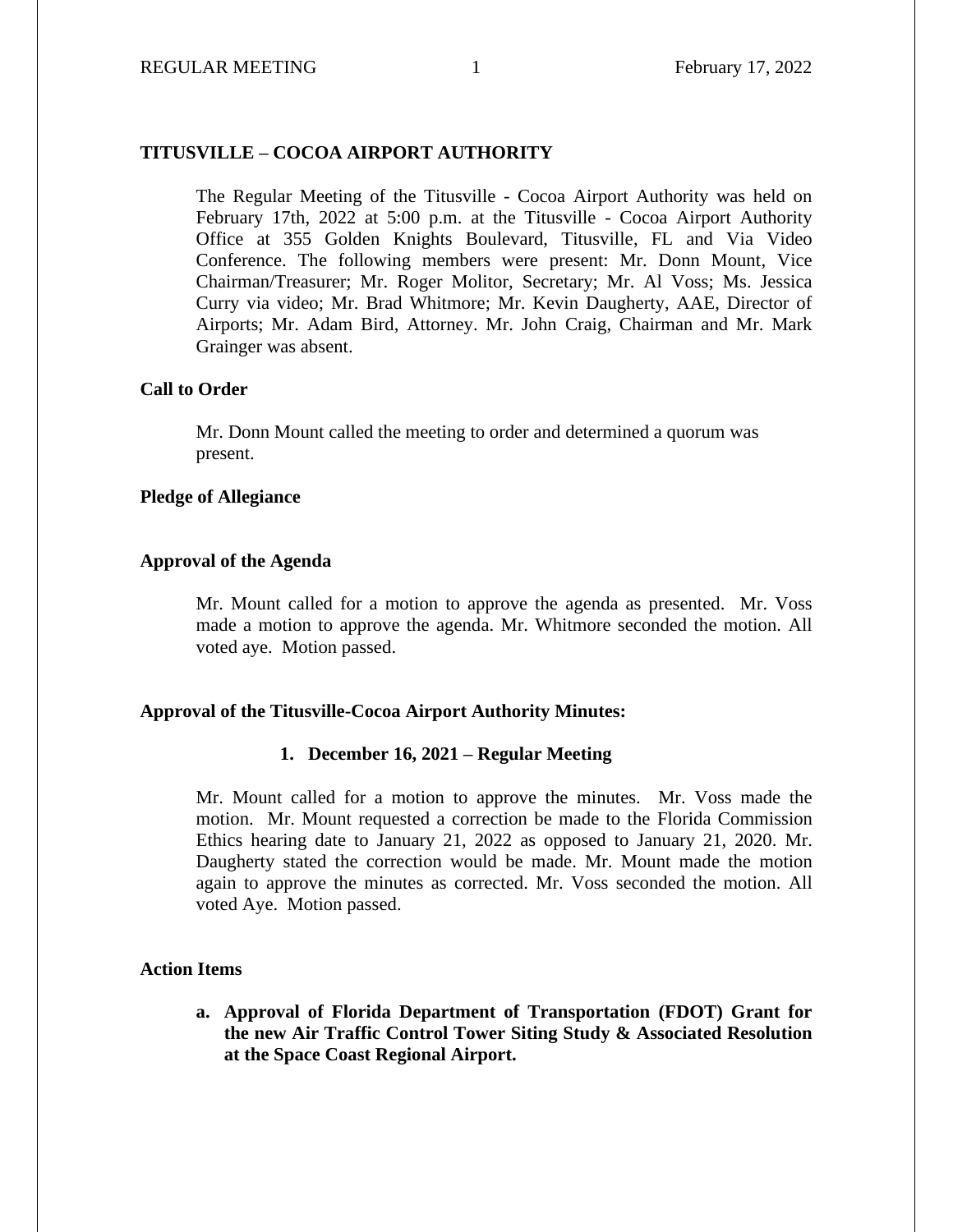## **TITUSVILLE – COCOA AIRPORT AUTHORITY**

The Regular Meeting of the Titusville - Cocoa Airport Authority was held on February 17th, 2022 at 5:00 p.m. at the Titusville - Cocoa Airport Authority Office at 355 Golden Knights Boulevard, Titusville, FL and Via Video Conference. The following members were present: Mr. Donn Mount, Vice Chairman/Treasurer; Mr. Roger Molitor, Secretary; Mr. Al Voss; Ms. Jessica Curry via video; Mr. Brad Whitmore; Mr. Kevin Daugherty, AAE, Director of Airports; Mr. Adam Bird, Attorney. Mr. John Craig, Chairman and Mr. Mark Grainger was absent.

### **Call to Order**

Mr. Donn Mount called the meeting to order and determined a quorum was present.

## **Pledge of Allegiance**

## **Approval of the Agenda**

Mr. Mount called for a motion to approve the agenda as presented. Mr. Voss made a motion to approve the agenda. Mr. Whitmore seconded the motion. All voted aye. Motion passed.

#### **Approval of the Titusville-Cocoa Airport Authority Minutes:**

#### **1. December 16, 2021 – Regular Meeting**

Mr. Mount called for a motion to approve the minutes. Mr. Voss made the motion. Mr. Mount requested a correction be made to the Florida Commission Ethics hearing date to January 21, 2022 as opposed to January 21, 2020. Mr. Daugherty stated the correction would be made. Mr. Mount made the motion again to approve the minutes as corrected. Mr. Voss seconded the motion. All voted Aye. Motion passed.

#### **Action Items**

**a. Approval of Florida Department of Transportation (FDOT) Grant for the new Air Traffic Control Tower Siting Study & Associated Resolution at the Space Coast Regional Airport.**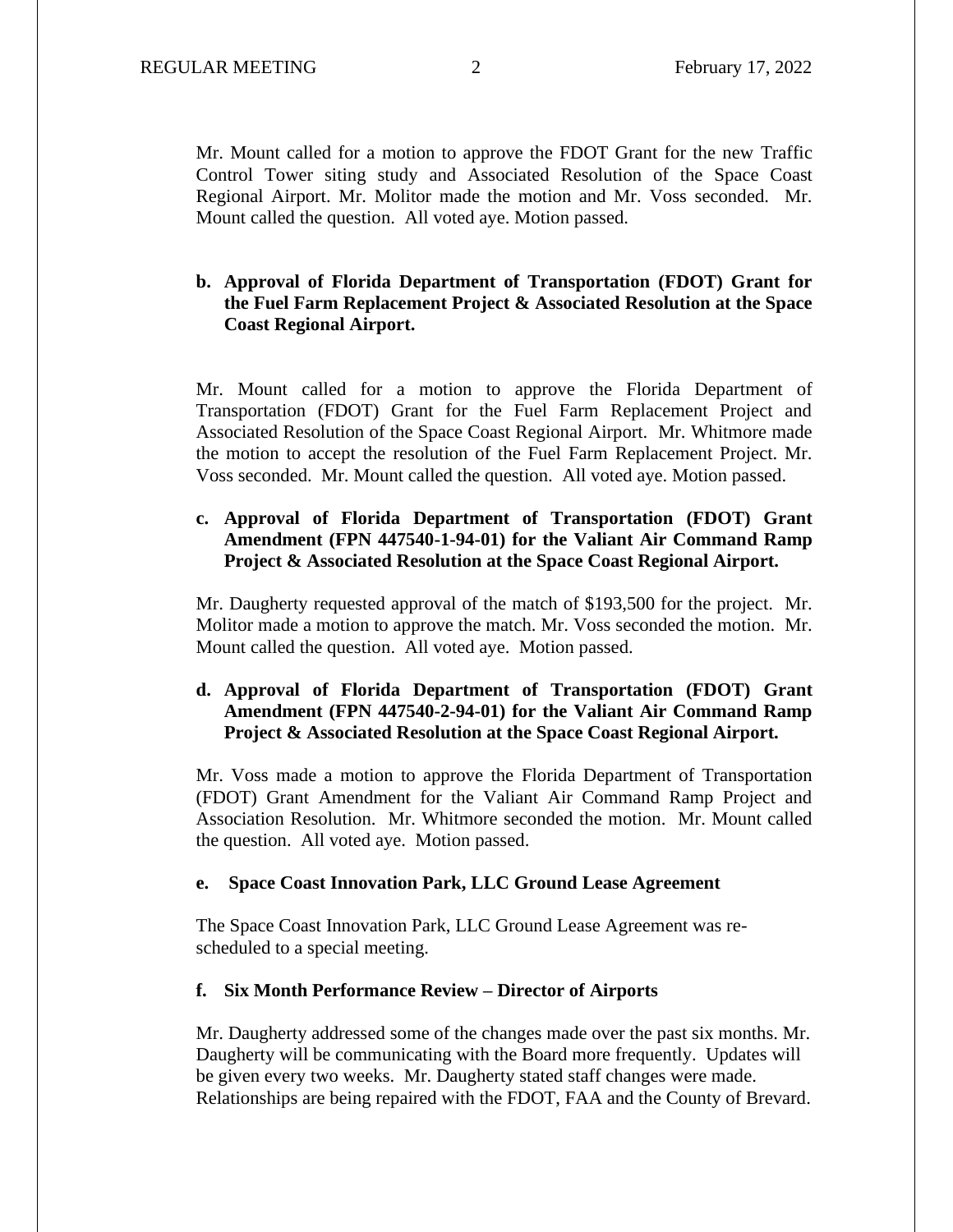Mr. Mount called for a motion to approve the FDOT Grant for the new Traffic Control Tower siting study and Associated Resolution of the Space Coast Regional Airport. Mr. Molitor made the motion and Mr. Voss seconded. Mr. Mount called the question. All voted aye. Motion passed.

# **b. Approval of Florida Department of Transportation (FDOT) Grant for the Fuel Farm Replacement Project & Associated Resolution at the Space Coast Regional Airport.**

Mr. Mount called for a motion to approve the Florida Department of Transportation (FDOT) Grant for the Fuel Farm Replacement Project and Associated Resolution of the Space Coast Regional Airport. Mr. Whitmore made the motion to accept the resolution of the Fuel Farm Replacement Project. Mr. Voss seconded. Mr. Mount called the question. All voted aye. Motion passed.

# **c. Approval of Florida Department of Transportation (FDOT) Grant Amendment (FPN 447540-1-94-01) for the Valiant Air Command Ramp Project & Associated Resolution at the Space Coast Regional Airport.**

Mr. Daugherty requested approval of the match of \$193,500 for the project. Mr. Molitor made a motion to approve the match. Mr. Voss seconded the motion. Mr. Mount called the question. All voted aye. Motion passed.

# **d. Approval of Florida Department of Transportation (FDOT) Grant Amendment (FPN 447540-2-94-01) for the Valiant Air Command Ramp Project & Associated Resolution at the Space Coast Regional Airport.**

Mr. Voss made a motion to approve the Florida Department of Transportation (FDOT) Grant Amendment for the Valiant Air Command Ramp Project and Association Resolution. Mr. Whitmore seconded the motion. Mr. Mount called the question. All voted aye. Motion passed.

## **e. Space Coast Innovation Park, LLC Ground Lease Agreement**

The Space Coast Innovation Park, LLC Ground Lease Agreement was rescheduled to a special meeting.

#### **f. Six Month Performance Review – Director of Airports**

Mr. Daugherty addressed some of the changes made over the past six months. Mr. Daugherty will be communicating with the Board more frequently. Updates will be given every two weeks. Mr. Daugherty stated staff changes were made. Relationships are being repaired with the FDOT, FAA and the County of Brevard.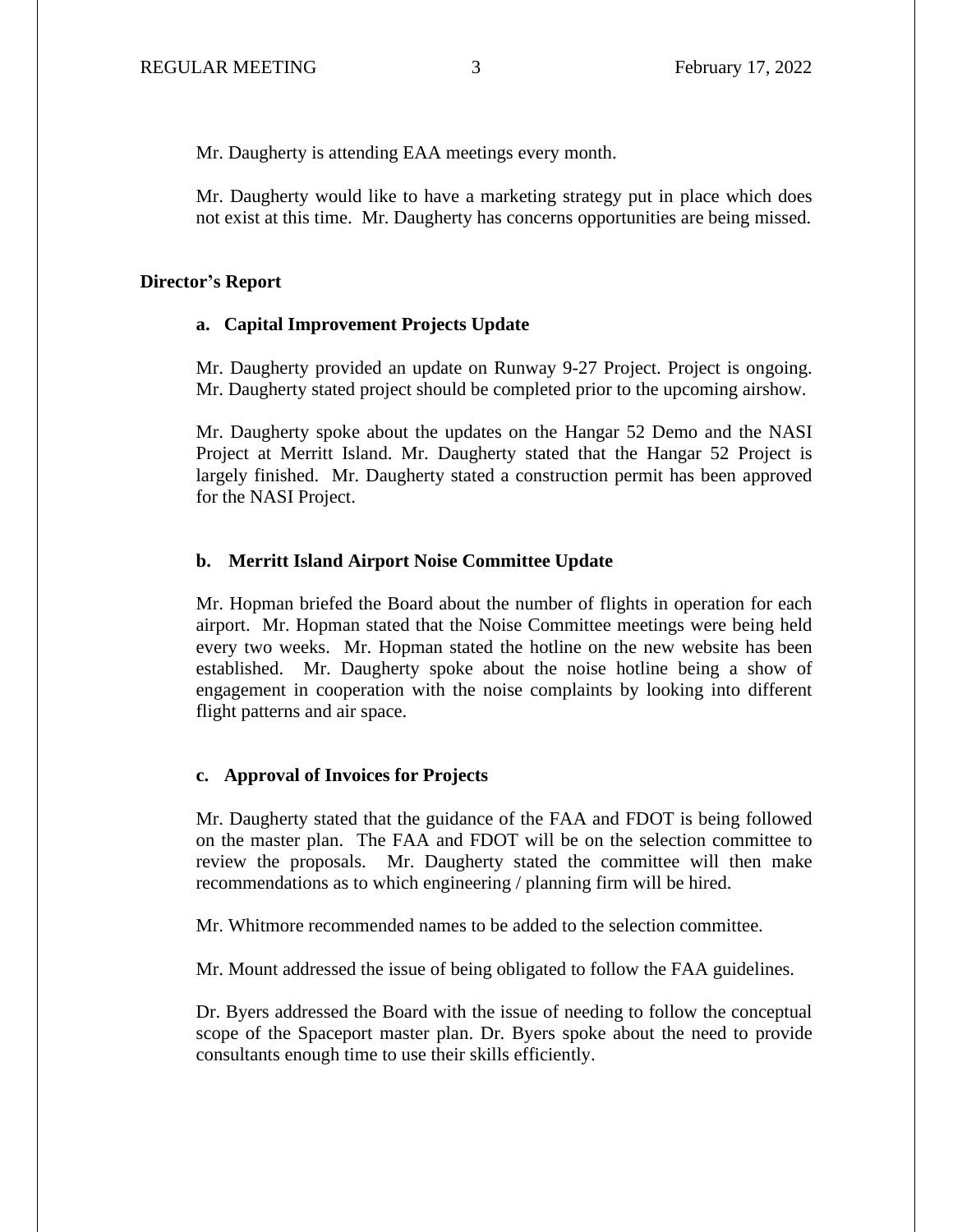Mr. Daugherty is attending EAA meetings every month.

Mr. Daugherty would like to have a marketing strategy put in place which does not exist at this time. Mr. Daugherty has concerns opportunities are being missed.

### **Director's Report**

## **a. Capital Improvement Projects Update**

Mr. Daugherty provided an update on Runway 9-27 Project. Project is ongoing. Mr. Daugherty stated project should be completed prior to the upcoming airshow.

Mr. Daugherty spoke about the updates on the Hangar 52 Demo and the NASI Project at Merritt Island. Mr. Daugherty stated that the Hangar 52 Project is largely finished. Mr. Daugherty stated a construction permit has been approved for the NASI Project.

## **b. Merritt Island Airport Noise Committee Update**

Mr. Hopman briefed the Board about the number of flights in operation for each airport. Mr. Hopman stated that the Noise Committee meetings were being held every two weeks. Mr. Hopman stated the hotline on the new website has been established. Mr. Daugherty spoke about the noise hotline being a show of engagement in cooperation with the noise complaints by looking into different flight patterns and air space.

#### **c. Approval of Invoices for Projects**

Mr. Daugherty stated that the guidance of the FAA and FDOT is being followed on the master plan. The FAA and FDOT will be on the selection committee to review the proposals. Mr. Daugherty stated the committee will then make recommendations as to which engineering / planning firm will be hired.

Mr. Whitmore recommended names to be added to the selection committee.

Mr. Mount addressed the issue of being obligated to follow the FAA guidelines.

Dr. Byers addressed the Board with the issue of needing to follow the conceptual scope of the Spaceport master plan. Dr. Byers spoke about the need to provide consultants enough time to use their skills efficiently.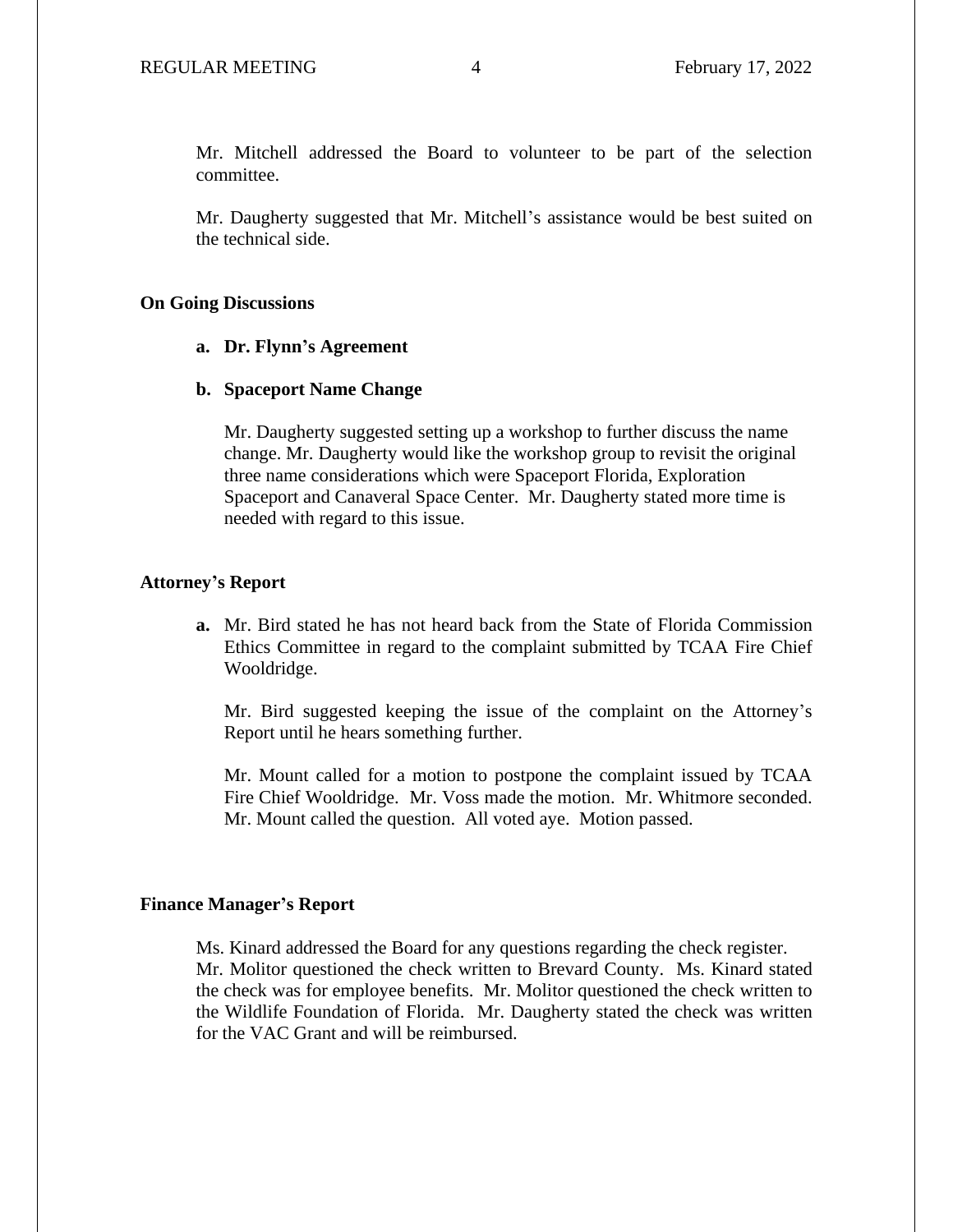Mr. Mitchell addressed the Board to volunteer to be part of the selection committee.

Mr. Daugherty suggested that Mr. Mitchell's assistance would be best suited on the technical side.

### **On Going Discussions**

## **a. Dr. Flynn's Agreement**

## **b. Spaceport Name Change**

Mr. Daugherty suggested setting up a workshop to further discuss the name change. Mr. Daugherty would like the workshop group to revisit the original three name considerations which were Spaceport Florida, Exploration Spaceport and Canaveral Space Center. Mr. Daugherty stated more time is needed with regard to this issue.

## **Attorney's Report**

**a.** Mr. Bird stated he has not heard back from the State of Florida Commission Ethics Committee in regard to the complaint submitted by TCAA Fire Chief Wooldridge.

Mr. Bird suggested keeping the issue of the complaint on the Attorney's Report until he hears something further.

Mr. Mount called for a motion to postpone the complaint issued by TCAA Fire Chief Wooldridge. Mr. Voss made the motion. Mr. Whitmore seconded. Mr. Mount called the question. All voted aye. Motion passed.

#### **Finance Manager's Report**

Ms. Kinard addressed the Board for any questions regarding the check register. Mr. Molitor questioned the check written to Brevard County. Ms. Kinard stated the check was for employee benefits. Mr. Molitor questioned the check written to the Wildlife Foundation of Florida. Mr. Daugherty stated the check was written for the VAC Grant and will be reimbursed.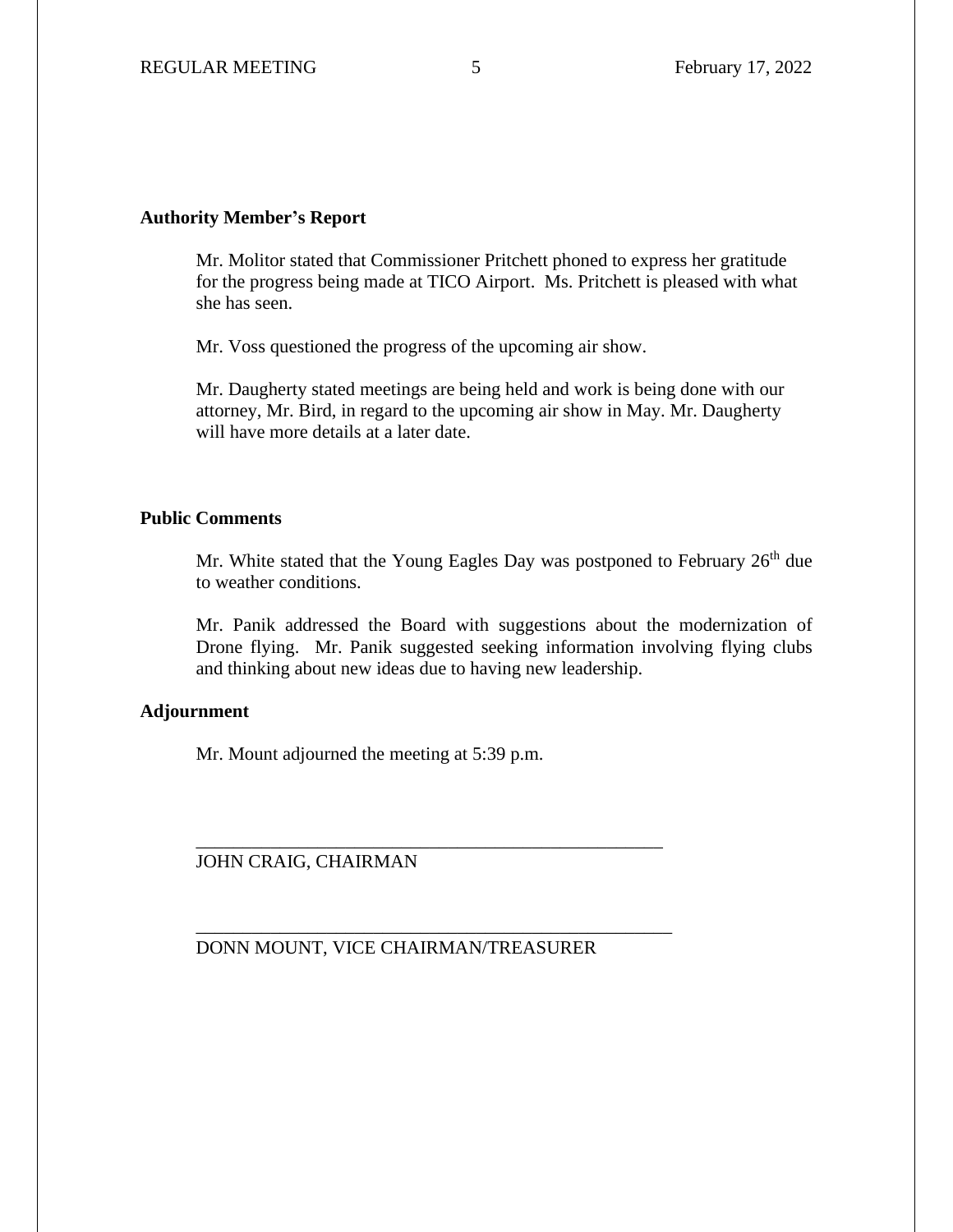## **Authority Member's Report**

Mr. Molitor stated that Commissioner Pritchett phoned to express her gratitude for the progress being made at TICO Airport. Ms. Pritchett is pleased with what she has seen.

Mr. Voss questioned the progress of the upcoming air show.

Mr. Daugherty stated meetings are being held and work is being done with our attorney, Mr. Bird, in regard to the upcoming air show in May. Mr. Daugherty will have more details at a later date.

# **Public Comments**

Mr. White stated that the Young Eagles Day was postponed to February  $26<sup>th</sup>$  due to weather conditions.

Mr. Panik addressed the Board with suggestions about the modernization of Drone flying. Mr. Panik suggested seeking information involving flying clubs and thinking about new ideas due to having new leadership.

# **Adjournment**

Mr. Mount adjourned the meeting at 5:39 p.m.

JOHN CRAIG, CHAIRMAN

DONN MOUNT, VICE CHAIRMAN/TREASURER

\_\_\_\_\_\_\_\_\_\_\_\_\_\_\_\_\_\_\_\_\_\_\_\_\_\_\_\_\_\_\_\_\_\_\_\_\_\_\_\_\_\_\_\_\_\_\_\_\_\_

\_\_\_\_\_\_\_\_\_\_\_\_\_\_\_\_\_\_\_\_\_\_\_\_\_\_\_\_\_\_\_\_\_\_\_\_\_\_\_\_\_\_\_\_\_\_\_\_\_\_\_